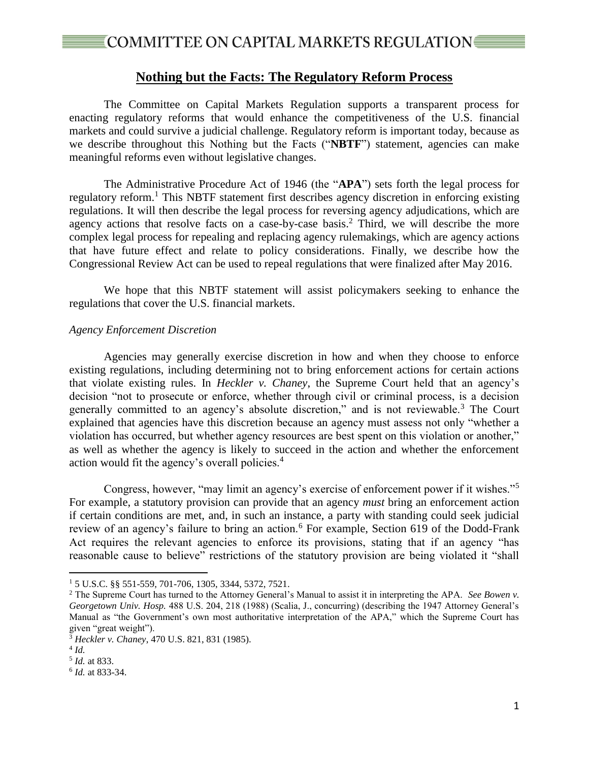### **Nothing but the Facts: The Regulatory Reform Process**

The Committee on Capital Markets Regulation supports a transparent process for enacting regulatory reforms that would enhance the competitiveness of the U.S. financial markets and could survive a judicial challenge. Regulatory reform is important today, because as we describe throughout this Nothing but the Facts ("**NBTF**") statement, agencies can make meaningful reforms even without legislative changes.

The Administrative Procedure Act of 1946 (the "**APA**") sets forth the legal process for regulatory reform.<sup>1</sup> This NBTF statement first describes agency discretion in enforcing existing regulations. It will then describe the legal process for reversing agency adjudications, which are agency actions that resolve facts on a case-by-case basis.<sup>2</sup> Third, we will describe the more complex legal process for repealing and replacing agency rulemakings, which are agency actions that have future effect and relate to policy considerations. Finally, we describe how the Congressional Review Act can be used to repeal regulations that were finalized after May 2016.

We hope that this NBTF statement will assist policymakers seeking to enhance the regulations that cover the U.S. financial markets.

#### *Agency Enforcement Discretion*

Agencies may generally exercise discretion in how and when they choose to enforce existing regulations, including determining not to bring enforcement actions for certain actions that violate existing rules. In *Heckler v. Chaney*, the Supreme Court held that an agency's decision "not to prosecute or enforce, whether through civil or criminal process, is a decision generally committed to an agency's absolute discretion," and is not reviewable. $3$  The Court explained that agencies have this discretion because an agency must assess not only "whether a violation has occurred, but whether agency resources are best spent on this violation or another," as well as whether the agency is likely to succeed in the action and whether the enforcement action would fit the agency's overall policies.<sup>4</sup>

Congress, however, "may limit an agency's exercise of enforcement power if it wishes."<sup>5</sup> For example, a statutory provision can provide that an agency *must* bring an enforcement action if certain conditions are met, and, in such an instance, a party with standing could seek judicial review of an agency's failure to bring an action.<sup>6</sup> For example, Section 619 of the Dodd-Frank Act requires the relevant agencies to enforce its provisions, stating that if an agency "has reasonable cause to believe" restrictions of the statutory provision are being violated it "shall

<sup>1</sup> 5 U.S.C. §§ 551-559, 701-706, 1305, 3344, 5372, 7521.

<sup>2</sup> The Supreme Court has turned to the Attorney General's Manual to assist it in interpreting the APA. *See Bowen v. Georgetown Univ. Hosp.* 488 U.S. 204, 218 (1988) (Scalia, J., concurring) (describing the 1947 Attorney General's Manual as "the Government's own most authoritative interpretation of the APA," which the Supreme Court has given "great weight").

<sup>3</sup> *Heckler v. Chaney*, 470 U.S. 821, 831 (1985).

<sup>4</sup> *Id.*

<sup>5</sup> *Id.* at 833.

<sup>6</sup> *Id.* at 833-34.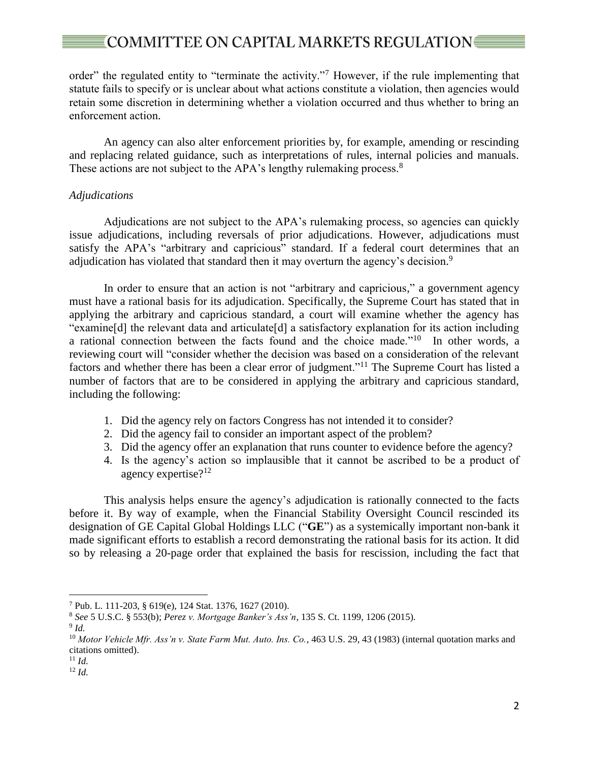# $\epsilon$  COMMITTEE ON CAPITAL MARKETS REGULATION  $\epsilon$

order" the regulated entity to "terminate the activity."<sup>7</sup> However, if the rule implementing that statute fails to specify or is unclear about what actions constitute a violation, then agencies would retain some discretion in determining whether a violation occurred and thus whether to bring an enforcement action.

An agency can also alter enforcement priorities by, for example, amending or rescinding and replacing related guidance, such as interpretations of rules, internal policies and manuals. These actions are not subject to the APA's lengthy rulemaking process.<sup>8</sup>

### *Adjudications*

Adjudications are not subject to the APA's rulemaking process, so agencies can quickly issue adjudications, including reversals of prior adjudications. However, adjudications must satisfy the APA's "arbitrary and capricious" standard. If a federal court determines that an adjudication has violated that standard then it may overturn the agency's decision.<sup>9</sup>

In order to ensure that an action is not "arbitrary and capricious," a government agency must have a rational basis for its adjudication. Specifically, the Supreme Court has stated that in applying the arbitrary and capricious standard, a court will examine whether the agency has "examine[d] the relevant data and articulate[d] a satisfactory explanation for its action including a rational connection between the facts found and the choice made."<sup>10</sup> In other words, a reviewing court will "consider whether the decision was based on a consideration of the relevant factors and whether there has been a clear error of judgment."<sup>11</sup> The Supreme Court has listed a number of factors that are to be considered in applying the arbitrary and capricious standard, including the following:

- 1. Did the agency rely on factors Congress has not intended it to consider?
- 2. Did the agency fail to consider an important aspect of the problem?
- 3. Did the agency offer an explanation that runs counter to evidence before the agency?
- 4. Is the agency's action so implausible that it cannot be ascribed to be a product of agency expertise?<sup>12</sup>

This analysis helps ensure the agency's adjudication is rationally connected to the facts before it. By way of example, when the Financial Stability Oversight Council rescinded its designation of GE Capital Global Holdings LLC ("**GE**") as a systemically important non-bank it made significant efforts to establish a record demonstrating the rational basis for its action. It did so by releasing a 20-page order that explained the basis for rescission, including the fact that

<sup>7</sup> Pub. L. 111-203, § 619(e), 124 Stat. 1376, 1627 (2010).

<sup>8</sup> *See* 5 U.S.C. § 553(b); *Perez v. Mortgage Banker's Ass'n*, 135 S. Ct. 1199, 1206 (2015).

<sup>9</sup> *Id.*

<sup>10</sup> *Motor Vehicle Mfr. Ass'n v. State Farm Mut. Auto. Ins. Co.*, 463 U.S. 29, 43 (1983) (internal quotation marks and citations omitted).

<sup>11</sup> *Id.*

<sup>12</sup> *Id.*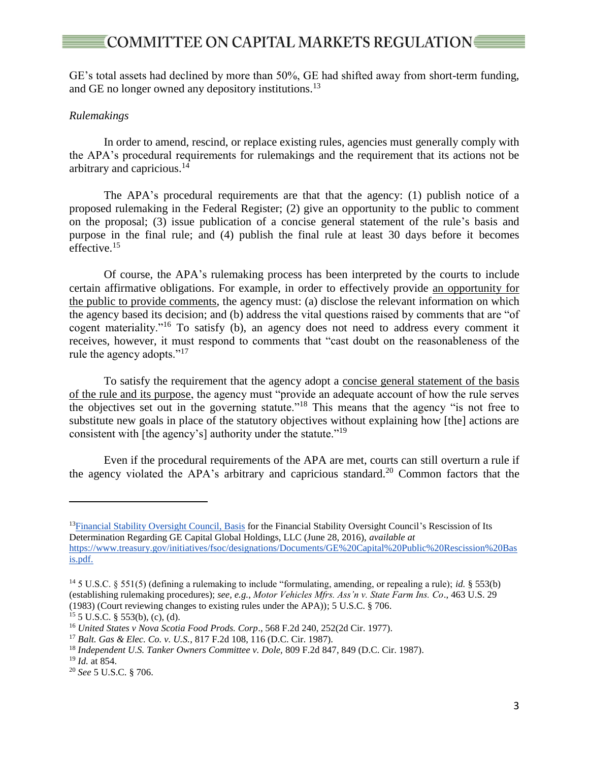# $\epsilon$ COMMITTEE ON CAPITAL MARKETS REGULATION

GE's total assets had declined by more than 50%, GE had shifted away from short-term funding, and GE no longer owned any depository institutions.<sup>13</sup>

### *Rulemakings*

In order to amend, rescind, or replace existing rules, agencies must generally comply with the APA's procedural requirements for rulemakings and the requirement that its actions not be arbitrary and capricious. 14

The APA's procedural requirements are that that the agency: (1) publish notice of a proposed rulemaking in the Federal Register; (2) give an opportunity to the public to comment on the proposal; (3) issue publication of a concise general statement of the rule's basis and purpose in the final rule; and (4) publish the final rule at least 30 days before it becomes effective. 15

Of course, the APA's rulemaking process has been interpreted by the courts to include certain affirmative obligations. For example, in order to effectively provide an opportunity for the public to provide comments, the agency must: (a) disclose the relevant information on which the agency based its decision; and (b) address the vital questions raised by comments that are "of cogent materiality."<sup>16</sup> To satisfy (b), an agency does not need to address every comment it receives, however, it must respond to comments that "cast doubt on the reasonableness of the rule the agency adopts."<sup>17</sup>

To satisfy the requirement that the agency adopt a concise general statement of the basis of the rule and its purpose, the agency must "provide an adequate account of how the rule serves the objectives set out in the governing statute."<sup>18</sup> This means that the agency "is not free to substitute new goals in place of the statutory objectives without explaining how [the] actions are consistent with [the agency's] authority under the statute."<sup>19</sup>

Even if the procedural requirements of the APA are met, courts can still overturn a rule if the agency violated the APA's arbitrary and capricious standard.<sup>20</sup> Common factors that the

<sup>&</sup>lt;sup>13</sup>Financial Stability Oversight Council, Basis for the Financial Stability Oversight Council's Rescission of Its Determination Regarding GE Capital Global Holdings, LLC (June 28, 2016), *available at*  https://www.treasury.gov/initiatives/fsoc/designations/Documents/GE%20Capital%20Public%20Rescission%20Bas is.pdf.

<sup>14</sup> 5 U.S.C. § 551(5) (defining a rulemaking to include "formulating, amending, or repealing a rule); *id.* § 553(b) (establishing rulemaking procedures); *see, e.g.*, *Motor Vehicles Mfrs. Ass'n v. State Farm Ins. Co*., 463 U.S. 29 (1983) (Court reviewing changes to existing rules under the APA)); 5 U.S.C. § 706.

 $15\,5\,$  U.S.C. § 553(b), (c), (d).

<sup>16</sup> *United States v Nova Scotia Food Prods. Corp*., 568 F.2d 240, 252(2d Cir. 1977).

<sup>17</sup> *Balt. Gas & Elec. Co. v. U.S.*, 817 F.2d 108, 116 (D.C. Cir. 1987).

<sup>18</sup> *Independent U.S. Tanker Owners Committee v. Dole,* 809 F.2d 847, 849 (D.C. Cir. 1987).

<sup>19</sup> *Id.* at 854.

<sup>20</sup> *See* 5 U.S.C. § 706.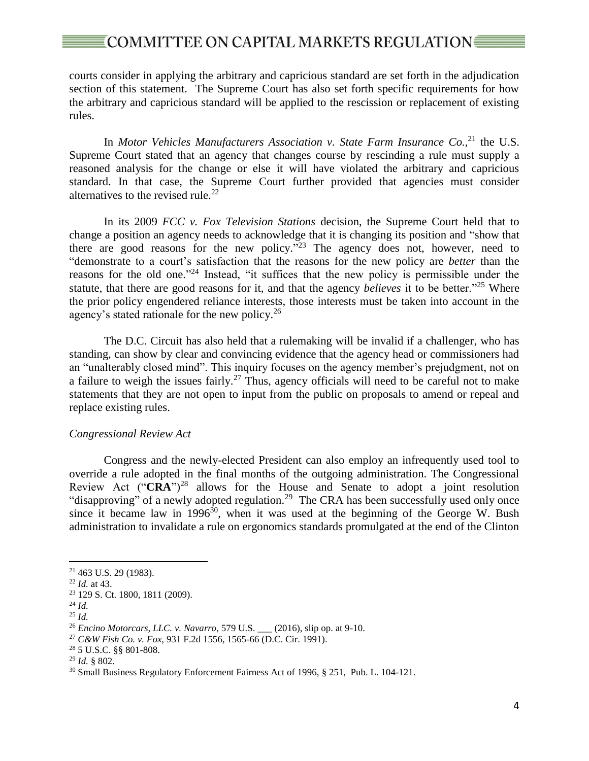## 

courts consider in applying the arbitrary and capricious standard are set forth in the adjudication section of this statement. The Supreme Court has also set forth specific requirements for how the arbitrary and capricious standard will be applied to the rescission or replacement of existing rules.

In *Motor Vehicles Manufacturers Association v. State Farm Insurance Co.*, <sup>21</sup> the U.S. Supreme Court stated that an agency that changes course by rescinding a rule must supply a reasoned analysis for the change or else it will have violated the arbitrary and capricious standard. In that case, the Supreme Court further provided that agencies must consider alternatives to the revised rule.<sup>22</sup>

In its 2009 *FCC v. Fox Television Stations* decision, the Supreme Court held that to change a position an agency needs to acknowledge that it is changing its position and "show that there are good reasons for the new policy."<sup>23</sup> The agency does not, however, need to "demonstrate to a court's satisfaction that the reasons for the new policy are *better* than the reasons for the old one."<sup>24</sup> Instead, "it suffices that the new policy is permissible under the statute, that there are good reasons for it, and that the agency *believes* it to be better."<sup>25</sup> Where the prior policy engendered reliance interests, those interests must be taken into account in the agency's stated rationale for the new policy.<sup>26</sup>

The D.C. Circuit has also held that a rulemaking will be invalid if a challenger, who has standing, can show by clear and convincing evidence that the agency head or commissioners had an "unalterably closed mind". This inquiry focuses on the agency member's prejudgment, not on a failure to weigh the issues fairly.<sup>27</sup> Thus, agency officials will need to be careful not to make statements that they are not open to input from the public on proposals to amend or repeal and replace existing rules.

#### *Congressional Review Act*

Congress and the newly-elected President can also employ an infrequently used tool to override a rule adopted in the final months of the outgoing administration. The Congressional Review Act (" $CRA$ ")<sup>28</sup> allows for the House and Senate to adopt a joint resolution "disapproving" of a newly adopted regulation.<sup>29</sup> The CRA has been successfully used only once since it became law in 1996 $30$ , when it was used at the beginning of the George W. Bush administration to invalidate a rule on ergonomics standards promulgated at the end of the Clinton

<sup>21</sup> 463 U.S. 29 (1983).

<sup>22</sup> *Id.* at 43.

<sup>23</sup> 129 S. Ct. 1800, 1811 (2009).

<sup>24</sup> *Id.*

<sup>25</sup> *Id.*

<sup>26</sup> *Encino Motorcars, LLC. v. Navarro*, 579 U.S. \_\_\_ (2016), slip op. at 9-10.

<sup>27</sup> *C&W Fish Co. v. Fox,* 931 F.2d 1556, 1565-66 (D.C. Cir. 1991).

<sup>28</sup> 5 U.S.C. §§ 801-808.

<sup>29</sup> *Id.* § 802.

<sup>30</sup> Small Business Regulatory Enforcement Fairness Act of 1996, § 251, Pub. L. 104-121.